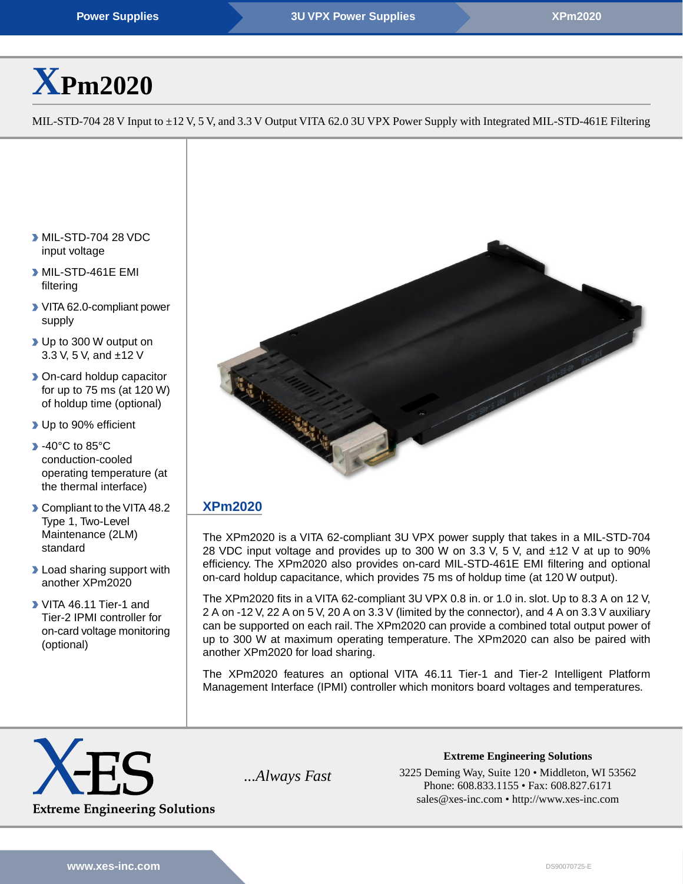# **[X](http://www.xes-inc.com/products/view/xpm2020/?utm_source=dynamic&utm_medium=referral&utm_term=XPm2020&utm_content=Title&utm_campaign=Datasheet)[Pm2020](http://www.xes-inc.com/products/view/xpm2020/?utm_source=dynamic&utm_medium=referral&utm_term=XPm2020&utm_content=Title&utm_campaign=Datasheet)**

MIL-STD-704 28 V Input to ±12 V, 5 V, and 3.3 V Output VITA 62.0 3U VPX Power Supply with Integrated MIL-STD-461E Filtering

- MIL-STD-704 28 VDC input voltage
- MIL-STD-461E EMI filtering
- VITA 62.0-compliant power supply
- ▶ Up to 300 W output on 3.3 V, 5 V, and ±12 V
- **Don-card holdup capacitor** for up to 75 ms (at 120 W) of holdup time (optional)
- Up to 90% efficient
- **1**-40°C to 85°C conduction-cooled operating temperature (at the thermal interface)
- Compliant to the VITA 48.2 Type 1, Two-Level Maintenance (2LM) standard
- **D** Load sharing support with another XPm2020
- VITA 46.11 Tier-1 and Tier-2 IPMI controller for on-card voltage monitoring (optional)



# **[XPm2020](http://www.xes-inc.com/products/view/xpm2020/?utm_source=dynamic&utm_medium=referral&utm_term=XPm2020&utm_content=Description%20Title&utm_campaign=Datasheet)**

The XPm2020 is a VITA 62-compliant 3U VPX power supply that takes in a MIL-STD-704 28 VDC input voltage and provides up to 300 W on 3.3 V, 5 V, and ±12 V at up to 90% efficiency. The XPm2020 also provides on-card MIL-STD-461E EMI filtering and optional on-card holdup capacitance, which provides 75 ms of holdup time (at 120 W output).

The XPm2020 fits in a VITA 62-compliant 3U VPX 0.8 in. or 1.0 in. slot. Up to 8.3 A on 12 V, 2 A on -12 V, 22 A on 5 V, 20 A on 3.3 V (limited by the connector), and 4 A on 3.3 V auxiliary can be supported on each rail. The XPm2020 can provide a combined total output power of up to 300 W at maximum operating temperature. The XPm2020 can also be paired with another XPm2020 for load sharing.

The XPm2020 features an optional VITA 46.11 Tier-1 and Tier-2 Intelligent Platform Management Interface (IPMI) controller which monitors board voltages and temperatures.



**Extreme Engineering Solutions** *...Always Fast* 3225 Deming Way, Suite 120 • Middleton, WI 53562 Phone: 608.833.1155 • Fax: 608.827.6171 sales@xes-inc.com • <http://www.xes-inc.com>